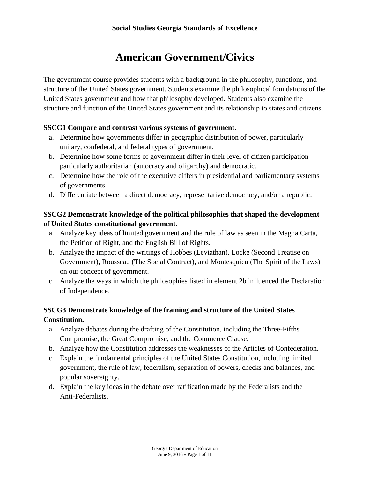# **American Government/Civics**

The government course provides students with a background in the philosophy, functions, and structure of the United States government. Students examine the philosophical foundations of the United States government and how that philosophy developed. Students also examine the structure and function of the United States government and its relationship to states and citizens.

### **SSCG1 Compare and contrast various systems of government.**

- a. Determine how governments differ in geographic distribution of power, particularly unitary, confederal, and federal types of government.
- b. Determine how some forms of government differ in their level of citizen participation particularly authoritarian (autocracy and oligarchy) and democratic.
- c. Determine how the role of the executive differs in presidential and parliamentary systems of governments.
- d. Differentiate between a direct democracy, representative democracy, and/or a republic.

# **SSCG2 Demonstrate knowledge of the political philosophies that shaped the development of United States constitutional government.**

- a. Analyze key ideas of limited government and the rule of law as seen in the Magna Carta, the Petition of Right, and the English Bill of Rights.
- b. Analyze the impact of the writings of Hobbes (Leviathan), Locke (Second Treatise on Government), Rousseau (The Social Contract), and Montesquieu (The Spirit of the Laws) on our concept of government.
- c. Analyze the ways in which the philosophies listed in element 2b influenced the Declaration of Independence.

# **SSCG3 Demonstrate knowledge of the framing and structure of the United States Constitution.**

- a. Analyze debates during the drafting of the Constitution, including the Three-Fifths Compromise, the Great Compromise, and the Commerce Clause.
- b. Analyze how the Constitution addresses the weaknesses of the Articles of Confederation.
- c. Explain the fundamental principles of the United States Constitution, including limited government, the rule of law, federalism, separation of powers, checks and balances, and popular sovereignty.
- d. Explain the key ideas in the debate over ratification made by the Federalists and the Anti-Federalists.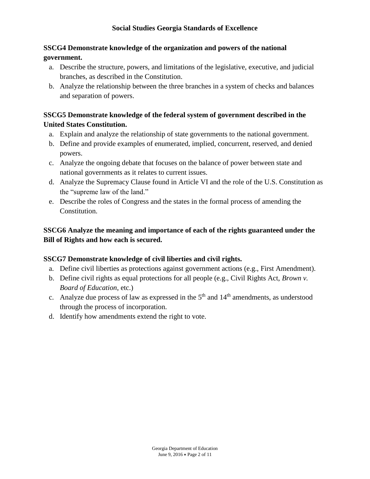# **SSCG4 Demonstrate knowledge of the organization and powers of the national government.**

- a. Describe the structure, powers, and limitations of the legislative, executive, and judicial branches, as described in the Constitution.
- b. Analyze the relationship between the three branches in a system of checks and balances and separation of powers.

# **SSCG5 Demonstrate knowledge of the federal system of government described in the United States Constitution.**

- a. Explain and analyze the relationship of state governments to the national government.
- b. Define and provide examples of enumerated, implied, concurrent, reserved, and denied powers.
- c. Analyze the ongoing debate that focuses on the balance of power between state and national governments as it relates to current issues.
- d. Analyze the Supremacy Clause found in Article VI and the role of the U.S. Constitution as the "supreme law of the land."
- e. Describe the roles of Congress and the states in the formal process of amending the Constitution.

# **SSCG6 Analyze the meaning and importance of each of the rights guaranteed under the Bill of Rights and how each is secured.**

# **SSCG7 Demonstrate knowledge of civil liberties and civil rights.**

- a. Define civil liberties as protections against government actions (e.g., First Amendment).
- b. Define civil rights as equal protections for all people (e.g., Civil Rights Act, *Brown v. Board of Education*, etc.)
- c. Analyze due process of law as expressed in the  $5<sup>th</sup>$  and  $14<sup>th</sup>$  amendments, as understood through the process of incorporation.
- d. Identify how amendments extend the right to vote.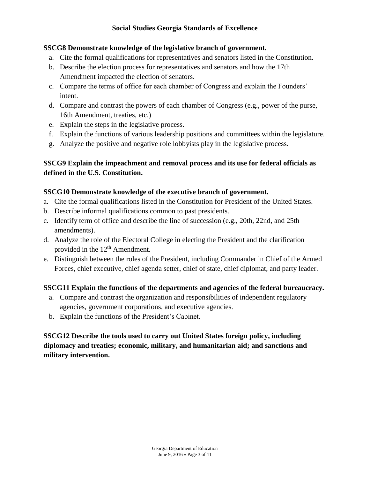### **Social Studies Georgia Standards of Excellence**

### **SSCG8 Demonstrate knowledge of the legislative branch of government.**

- a. Cite the formal qualifications for representatives and senators listed in the Constitution.
- b. Describe the election process for representatives and senators and how the 17th Amendment impacted the election of senators.
- c. Compare the terms of office for each chamber of Congress and explain the Founders' intent.
- d. Compare and contrast the powers of each chamber of Congress (e.g., power of the purse, 16th Amendment, treaties, etc.)
- e. Explain the steps in the legislative process.
- f. Explain the functions of various leadership positions and committees within the legislature.
- g. Analyze the positive and negative role lobbyists play in the legislative process.

# **SSCG9 Explain the impeachment and removal process and its use for federal officials as defined in the U.S. Constitution.**

### **SSCG10 Demonstrate knowledge of the executive branch of government.**

- a. Cite the formal qualifications listed in the Constitution for President of the United States.
- b. Describe informal qualifications common to past presidents.
- c. Identify term of office and describe the line of succession (e.g., 20th, 22nd, and 25th amendments).
- d. Analyze the role of the Electoral College in electing the President and the clarification provided in the  $12<sup>th</sup>$  Amendment.
- e. Distinguish between the roles of the President, including Commander in Chief of the Armed Forces, chief executive, chief agenda setter, chief of state, chief diplomat, and party leader.

# **SSCG11 Explain the functions of the departments and agencies of the federal bureaucracy.**

- a. Compare and contrast the organization and responsibilities of independent regulatory agencies, government corporations, and executive agencies.
- b. Explain the functions of the President's Cabinet.

**SSCG12 Describe the tools used to carry out United States foreign policy, including diplomacy and treaties; economic, military, and humanitarian aid; and sanctions and military intervention.**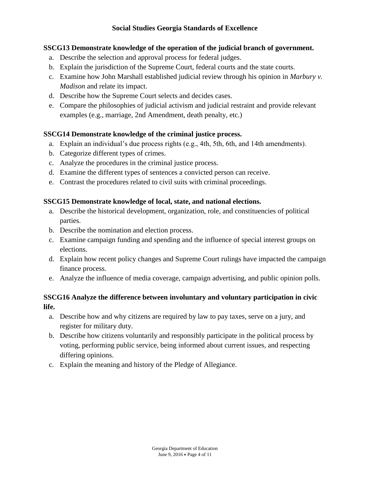### **SSCG13 Demonstrate knowledge of the operation of the judicial branch of government.**

- a. Describe the selection and approval process for federal judges.
- b. Explain the jurisdiction of the Supreme Court, federal courts and the state courts.
- c. Examine how John Marshall established judicial review through his opinion in *Marbury v. Madison* and relate its impact.
- d. Describe how the Supreme Court selects and decides cases.
- e. Compare the philosophies of judicial activism and judicial restraint and provide relevant examples (e.g., marriage, 2nd Amendment, death penalty, etc.)

### **SSCG14 Demonstrate knowledge of the criminal justice process.**

- a. Explain an individual's due process rights (e.g., 4th, 5th, 6th, and 14th amendments).
- b. Categorize different types of crimes.
- c. Analyze the procedures in the criminal justice process.
- d. Examine the different types of sentences a convicted person can receive.
- e. Contrast the procedures related to civil suits with criminal proceedings.

### **SSCG15 Demonstrate knowledge of local, state, and national elections.**

- a. Describe the historical development, organization, role, and constituencies of political parties.
- b. Describe the nomination and election process.
- c. Examine campaign funding and spending and the influence of special interest groups on elections.
- d. Explain how recent policy changes and Supreme Court rulings have impacted the campaign finance process.
- e. Analyze the influence of media coverage, campaign advertising, and public opinion polls.

# **SSCG16 Analyze the difference between involuntary and voluntary participation in civic life.**

- a. Describe how and why citizens are required by law to pay taxes, serve on a jury, and register for military duty.
- b. Describe how citizens voluntarily and responsibly participate in the political process by voting, performing public service, being informed about current issues, and respecting differing opinions.
- c. Explain the meaning and history of the Pledge of Allegiance.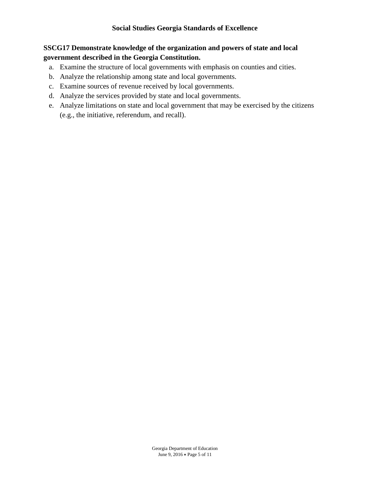### **SSCG17 Demonstrate knowledge of the organization and powers of state and local government described in the Georgia Constitution.**

- a. Examine the structure of local governments with emphasis on counties and cities.
- b. Analyze the relationship among state and local governments.
- c. Examine sources of revenue received by local governments.
- d. Analyze the services provided by state and local governments.
- e. Analyze limitations on state and local government that may be exercised by the citizens (e.g., the initiative, referendum, and recall).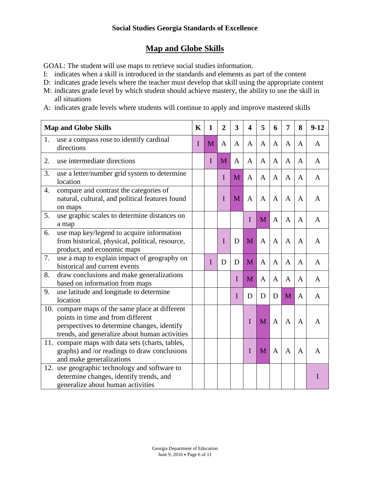# **Map and Globe Skills**

GOAL: The student will use maps to retrieve social studies information.

- I: indicates when a skill is introduced in the standards and elements as part of the content
- D: indicates grade levels where the teacher must develop that skill using the appropriate content
- M: indicates grade level by which student should achieve mastery, the ability to use the skill in all situations
- A: indicates grade levels where students will continue to apply and improve mastered skills

| <b>Map and Globe Skills</b> |                                                                                                                                                                                      | $\mathbf K$ | $\mathbf{1}$ | $\overline{2}$ | 3            | $\overline{\mathbf{4}}$ | 5              | 6            | 7            | 8            | $9 - 12$ |
|-----------------------------|--------------------------------------------------------------------------------------------------------------------------------------------------------------------------------------|-------------|--------------|----------------|--------------|-------------------------|----------------|--------------|--------------|--------------|----------|
| 1.                          | use a compass rose to identify cardinal<br>directions                                                                                                                                | $\mathbf I$ | M            | $\mathbf{A}$   | $\mathbf{A}$ | A                       | $\mathbf{A}$   | $\mathbf{A}$ | A            | A            | A        |
| 2.                          | use intermediate directions                                                                                                                                                          |             | I            | M              | A            | A                       | A              | A            | A            | A            | A        |
| 3.                          | use a letter/number grid system to determine<br>location                                                                                                                             |             |              | I              | M            | A                       | $\overline{A}$ | A            | $\mathbf{A}$ | A            | A        |
| 4.                          | compare and contrast the categories of<br>natural, cultural, and political features found<br>on maps                                                                                 |             |              | I              | M            | $\mathbf{A}$            | A              | A            | A            | A            | A        |
| 5.                          | use graphic scales to determine distances on<br>a map                                                                                                                                |             |              |                |              | I                       | M              | A            | A            | A            | A        |
| 6.                          | use map key/legend to acquire information<br>from historical, physical, political, resource,<br>product, and economic maps                                                           |             |              | I              | D            | M                       | $\overline{A}$ | A            | $\mathbf{A}$ | A            | A        |
| 7.                          | use a map to explain impact of geography on<br>historical and current events                                                                                                         |             | I            | D              | D            | M                       | $\mathbf{A}$   | $\mathbf{A}$ | A            | A            | A        |
| 8.                          | draw conclusions and make generalizations<br>based on information from maps                                                                                                          |             |              |                | $\mathbf I$  | M                       | $\mathbf{A}$   | $\mathbf{A}$ | A            | A            | A        |
| 9.                          | use latitude and longitude to determine<br>location                                                                                                                                  |             |              |                | I            | D                       | D              | D            | M            | A            | A        |
|                             | 10. compare maps of the same place at different<br>points in time and from different<br>perspectives to determine changes, identify<br>trends, and generalize about human activities |             |              |                |              | I                       | M              | $\mathbf{A}$ | $\mathbf{A}$ | $\mathbf{A}$ | A        |
|                             | 11. compare maps with data sets (charts, tables,<br>graphs) and /or readings to draw conclusions<br>and make generalizations                                                         |             |              |                |              | I                       | M              | $\mathbf{A}$ | $\mathbf{A}$ | A            | A        |
| 12.                         | use geographic technology and software to<br>determine changes, identify trends, and<br>generalize about human activities                                                            |             |              |                |              |                         |                |              |              |              | Т        |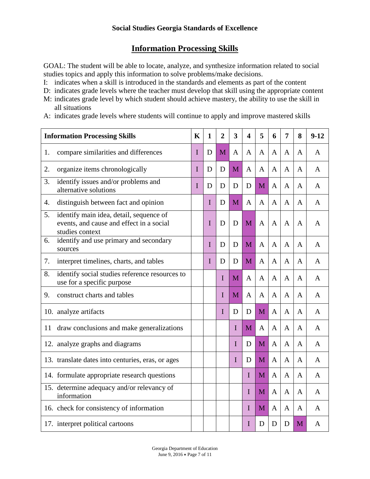# **Information Processing Skills**

GOAL: The student will be able to locate, analyze, and synthesize information related to social studies topics and apply this information to solve problems/make decisions.

- I: indicates when a skill is introduced in the standards and elements as part of the content
- D: indicates grade levels where the teacher must develop that skill using the appropriate content
- M: indicates grade level by which student should achieve mastery, the ability to use the skill in all situations
- A: indicates grade levels where students will continue to apply and improve mastered skills

| <b>Information Processing Skills</b> |                                                                                                        | $\mathbf K$ | $\mathbf{1}$ | $\overline{2}$ | $\overline{\mathbf{3}}$ | $\overline{\mathbf{4}}$ | 5            | 6            | $\overline{7}$ | 8            | $9 - 12$ |
|--------------------------------------|--------------------------------------------------------------------------------------------------------|-------------|--------------|----------------|-------------------------|-------------------------|--------------|--------------|----------------|--------------|----------|
| 1.                                   | compare similarities and differences                                                                   | I           | D            | M              | A                       | A                       | A            | $\mathbf{A}$ | $\overline{A}$ | A            | A        |
| 2.                                   | organize items chronologically                                                                         | I           | D            | D              | M                       | A                       | $\mathbf{A}$ | A            | $\overline{A}$ | A            | A        |
| 3.                                   | identify issues and/or problems and<br>alternative solutions                                           | I           | D            | D              | D                       | D                       | M            | $\mathbf{A}$ | $\mathbf{A}$   | $\mathbf{A}$ | A        |
| 4.                                   | distinguish between fact and opinion                                                                   |             | I            | D              | M                       | $\mathbf{A}$            | A            | A            | $\mathbf{A}$   | A            | A        |
| 5.                                   | identify main idea, detail, sequence of<br>events, and cause and effect in a social<br>studies context |             | I            | D              | D                       | M                       | A            | A            | A              | A            | A        |
| 6.                                   | identify and use primary and secondary<br>sources                                                      |             | I            | D              | D                       | M                       | A            | A            | $\mathbf{A}$   | A            | A        |
| 7.                                   | interpret timelines, charts, and tables                                                                |             | I            | D              | D                       | M                       | $\mathbf{A}$ | A            | $\mathbf{A}$   | A            | A        |
| 8.                                   | identify social studies reference resources to<br>use for a specific purpose                           |             |              | I              | M                       | A                       | A            | $\mathbf{A}$ | $\overline{A}$ | A            | A        |
| 9.                                   | construct charts and tables                                                                            |             |              | I              | M                       | A                       | A            | A            | $\mathbf{A}$   | A            | A        |
|                                      | 10. analyze artifacts                                                                                  |             |              | I              | D                       | D                       | M            | $\mathbf{A}$ | $\mathbf{A}$   | A            | A        |
| 11                                   | draw conclusions and make generalizations                                                              |             |              |                | I                       | M                       | $\mathbf{A}$ | A            | $\mathbf{A}$   | A            | A        |
|                                      | 12. analyze graphs and diagrams                                                                        |             |              |                | I                       | D                       | M            | $\mathbf{A}$ | $\mathbf{A}$   | A            | A        |
|                                      | 13. translate dates into centuries, eras, or ages                                                      |             |              |                | I                       | D                       | M            | $\mathbf{A}$ | $\mathbf{A}$   | A            | A        |
|                                      | 14. formulate appropriate research questions                                                           |             |              |                |                         | $\mathbf I$             | M            | $\mathbf{A}$ | $\mathbf{A}$   | A            | A        |
|                                      | 15. determine adequacy and/or relevancy of<br>information                                              |             |              |                |                         | $\mathbf I$             | M            | $\mathbf{A}$ | $\mathbf{A}$   | A            | A        |
|                                      | 16. check for consistency of information                                                               |             |              |                |                         | I                       | M            | $\mathbf{A}$ | A              | A            | A        |
|                                      | 17. interpret political cartoons                                                                       |             |              |                |                         | I                       | D            | D            | D              | M            | A        |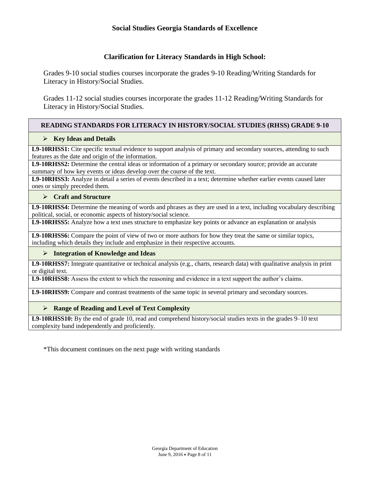### **Social Studies Georgia Standards of Excellence**

### **Clarification for Literacy Standards in High School:**

Grades 9-10 social studies courses incorporate the grades 9-10 Reading/Writing Standards for Literacy in History/Social Studies.

Grades 11-12 social studies courses incorporate the grades 11-12 Reading/Writing Standards for Literacy in History/Social Studies.

### **READING STANDARDS FOR LITERACY IN HISTORY/SOCIAL STUDIES (RHSS) GRADE 9-10**

### **Key Ideas and Details**

**L9-10RHSS1:** Cite specific textual evidence to support analysis of primary and secondary sources, attending to such features as the date and origin of the information.

**L9-10RHSS2:** Determine the central ideas or information of a primary or secondary source; provide an accurate summary of how key events or ideas develop over the course of the text.

**L9-10RHSS3:** Analyze in detail a series of events described in a text; determine whether earlier events caused later ones or simply preceded them.

#### **Craft and Structure**

**L9-10RHSS4:** Determine the meaning of words and phrases as they are used in a text, including vocabulary describing political, social, or economic aspects of history/social science.

**L9-10RHSS5:** Analyze how a text uses structure to emphasize key points or advance an explanation or analysis

**L9-10RHSS6:** Compare the point of view of two or more authors for how they treat the same or similar topics, including which details they include and emphasize in their respective accounts.

### **Integration of Knowledge and Ideas**

**L9-10RHSS7:** Integrate quantitative or technical analysis (e.g., charts, research data) with qualitative analysis in print or digital text.

**L9-10RHSS8:** Assess the extent to which the reasoning and evidence in a text support the author's claims.

**L9-10RHSS9:** Compare and contrast treatments of the same topic in several primary and secondary sources.

### **Range of Reading and Level of Text Complexity**

**L9-10RHSS10:** By the end of grade 10, read and comprehend history/social studies texts in the grades 9–10 text complexity band independently and proficiently.

\*This document continues on the next page with writing standards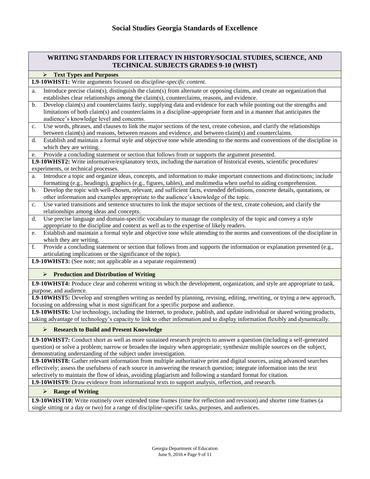### **WRITING STANDARDS FOR LITERACY IN HISTORY/SOCIAL STUDIES, SCIENCE, AND TECHNICAL SUBJECTS GRADES 9-10 (WHST)**

### **Text Types and Purposes**

**L9-10WHST1:** Write arguments focused on *discipline-specific content.*

- a. Introduce precise claim(s), distinguish the claim(s) from alternate or opposing claims, and create an organization that establishes clear relationships among the claim(s), counterclaims, reasons, and evidence.
- b. Develop claim(s) and counterclaims fairly, supplying data and evidence for each while pointing out the strengths and limitations of both claim(s) and counterclaims in a discipline-appropriate form and in a manner that anticipates the audience's knowledge level and concerns.
- c. Use words, phrases, and clauses to link the major sections of the text, create cohesion, and clarify the relationships between claim(s) and reasons, between reasons and evidence, and between claim(s) and counterclaims.
- d. Establish and maintain a formal style and objective tone while attending to the norms and conventions of the discipline in which they are writing.
- Provide a concluding statement or section that follows from or supports the argument presented.

**L9-10WHST2:** Write informative/explanatory texts, including the narration of historical events, scientific procedures/ experiments, or technical processes.

- a. Introduce a topic and organize ideas, concepts, and information to make important connections and distinctions; include formatting (e.g., headings), graphics (e.g., figures, tables), and multimedia when useful to aiding comprehension.
- b. Develop the topic with well-chosen, relevant, and sufficient facts, extended definitions, concrete details, quotations, or other information and examples appropriate to the audience's knowledge of the topic.
- c. Use varied transitions and sentence structures to link the major sections of the text, create cohesion, and clarify the relationships among ideas and concepts.
- d. Use precise language and domain-specific vocabulary to manage the complexity of the topic and convey a style appropriate to the discipline and context as well as to the expertise of likely readers.
- e. Establish and maintain a formal style and objective tone while attending to the norms and conventions of the discipline in which they are writing.
- f. Provide a concluding statement or section that follows from and supports the information or explanation presented (e.g., articulating implications or the significance of the topic).

**L9-10WHST3:** (See note; not applicable as a separate requirement)

#### **Production and Distribution of Writing**

**L9-10WHST4:** Produce clear and coherent writing in which the development, organization, and style are appropriate to task, purpose, and audience.

**L9-10WHST5:** Develop and strengthen writing as needed by planning, revising, editing, rewriting, or trying a new approach, focusing on addressing what is most significant for a specific purpose and audience.

**L9-10WHST6:** Use technology, including the Internet, to produce, publish, and update individual or shared writing products, taking advantage of technology's capacity to link to other information and to display information flexibly and dynamically.

#### **Research to Build and Present Knowledge**

**L9-10WHST7:** Conduct short as well as more sustained research projects to answer a question (including a self-generated question) or solve a problem; narrow or broaden the inquiry when appropriate; synthesize multiple sources on the subject, demonstrating understanding of the subject under investigation.

**L9-10WHST8:** Gather relevant information from multiple authoritative print and digital sources, using advanced searches effectively; assess the usefulness of each source in answering the research question; integrate information into the text selectively to maintain the flow of ideas, avoiding plagiarism and following a standard format for citation.

**L9-10WHST9:** Draw evidence from informational texts to support analysis, reflection, and research.

#### **Range of Writing**

L9-10WHST10: Write routinely over extended time frames (time for reflection and revision) and shorter time frames (a single sitting or a day or two) for a range of discipline-specific tasks, purposes, and audiences.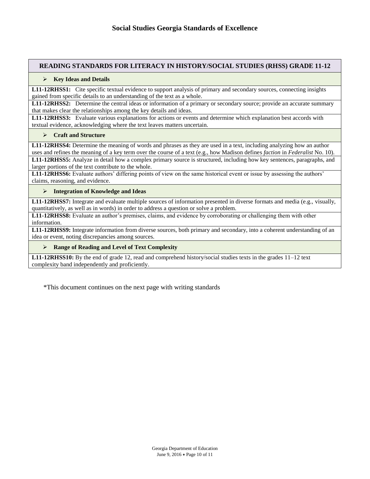### **READING STANDARDS FOR LITERACY IN HISTORY/SOCIAL STUDIES (RHSS) GRADE 11-12**

#### **Key Ideas and Details**

**L11-12RHSS1:** Cite specific textual evidence to support analysis of primary and secondary sources, connecting insights gained from specific details to an understanding of the text as a whole.

**L11-12RHSS2:** Determine the central ideas or information of a primary or secondary source; provide an accurate summary that makes clear the relationships among the key details and ideas.

**L11-12RHSS3:** Evaluate various explanations for actions or events and determine which explanation best accords with textual evidence, acknowledging where the text leaves matters uncertain.

#### **Craft and Structure**

**L11-12RHSS4:** Determine the meaning of words and phrases as they are used in a text, including analyzing how an author uses and refines the meaning of a key term over the course of a text (e.g., how Madison defines *faction* in *Federalist* No. 10).

**L11-12RHSS5:** Analyze in detail how a complex primary source is structured, including how key sentences, paragraphs, and larger portions of the text contribute to the whole.

**L11-12RHSS6:** Evaluate authors' differing points of view on the same historical event or issue by assessing the authors' claims, reasoning, and evidence.

#### **Integration of Knowledge and Ideas**

**L11-12RHSS7:** Integrate and evaluate multiple sources of information presented in diverse formats and media (e.g., visually, quantitatively, as well as in words) in order to address a question or solve a problem.

**L11-12RHSS8:** Evaluate an author's premises, claims, and evidence by corroborating or challenging them with other information.

**L11-12RHSS9:** Integrate information from diverse sources, both primary and secondary, into a coherent understanding of an idea or event, noting discrepancies among sources.

#### **Range of Reading and Level of Text Complexity**

**L11-12RHSS10:** By the end of grade 12, read and comprehend history/social studies texts in the grades 11–12 text complexity band independently and proficiently.

\*This document continues on the next page with writing standards